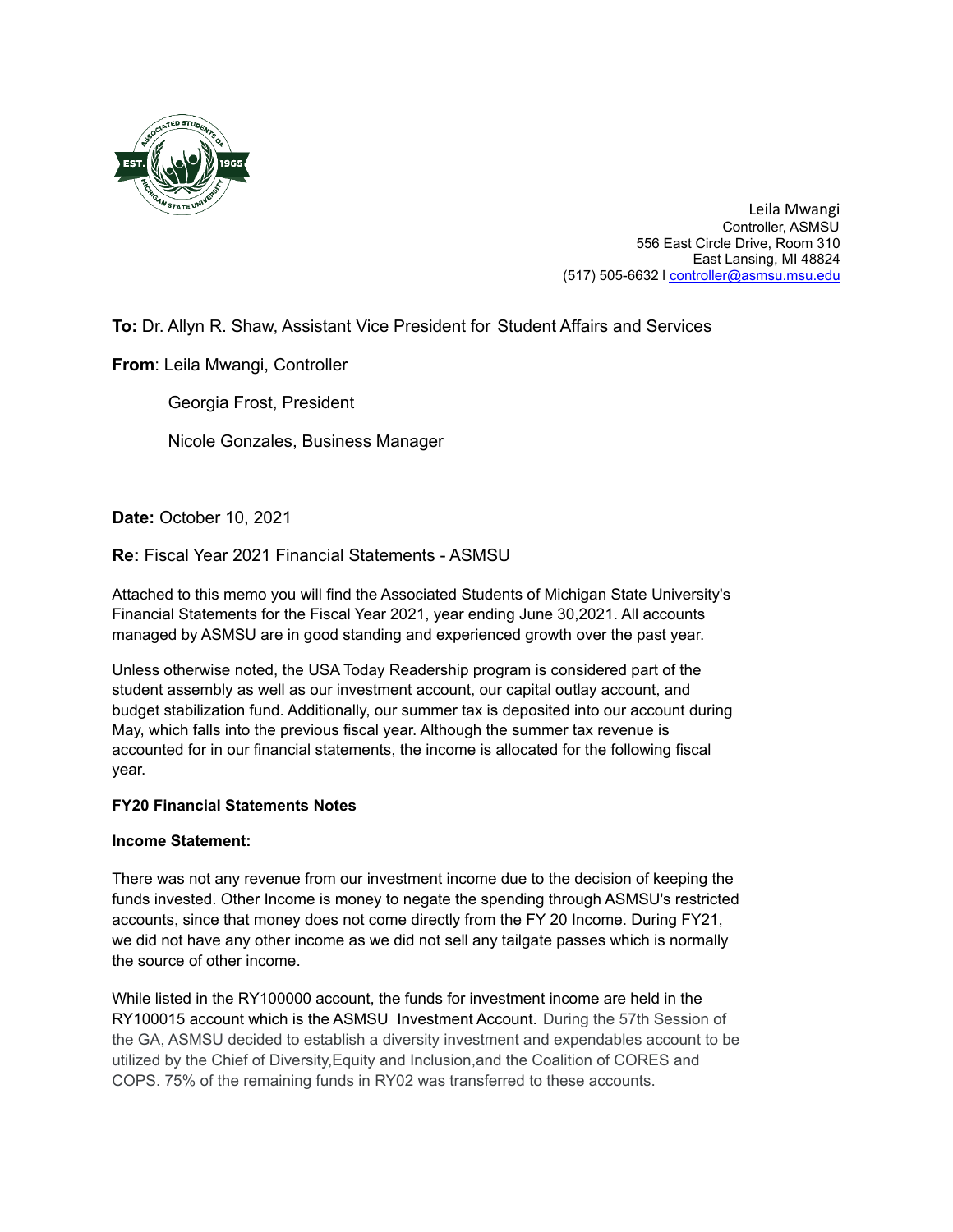

Leila Mwangi Controller, ASMSU 556 East Circle Drive, Room 310 East Lansing, MI 48824 (517) 505-6632 l controller@asmsu.msu.edu

# **To:** Dr. Allyn R. Shaw, Assistant Vice President for Student Affairs and Services

**From**: Leila Mwangi, Controller

Georgia Frost, President

Nicole Gonzales, Business Manager

**Date:** October 10, 2021

## **Re:** Fiscal Year 2021 Financial Statements - ASMSU

Attached to this memo you will find the Associated Students of Michigan State University's Financial Statements for the Fiscal Year 2021, year ending June 30,2021. All accounts managed by ASMSU are in good standing and experienced growth over the past year.

Unless otherwise noted, the USA Today Readership program is considered part of the student assembly as well as our investment account, our capital outlay account, and budget stabilization fund. Additionally, our summer tax is deposited into our account during May, which falls into the previous fiscal year. Although the summer tax revenue is accounted for in our financial statements, the income is allocated for the following fiscal year.

### **FY20 Financial Statements Notes**

### **Income Statement:**

There was not any revenue from our investment income due to the decision of keeping the funds invested. Other Income is money to negate the spending through ASMSU's restricted accounts, since that money does not come directly from the FY 20 Income. During FY21, we did not have any other income as we did not sell any tailgate passes which is normally the source of other income.

While listed in the RY100000 account, the funds for investment income are held in the RY100015 account which is the ASMSU Investment Account. During the 57th Session of the GA, ASMSU decided to establish a diversity investment and expendables account to be utilized by the Chief of Diversity,Equity and Inclusion,and the Coalition of CORES and COPS. 75% of the remaining funds in RY02 was transferred to these accounts.